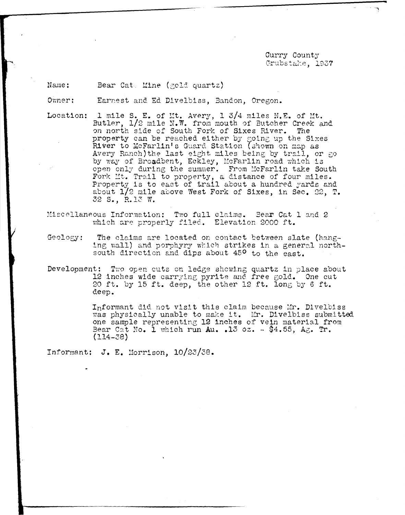Curry County Crubstake, 1937

Name: Bear Cat. Mine (gold quartz)

Owner: Earnest and Ed Divelbiss, Bandon, Oregon.

1 mile S. E. of Mt. Avery, 1 3/4 miles N.E. of Mt. Location: Butler, 1/2 mile N.W. from mouth of Butcher Creek and on north side of South Fork of Sixes River. The property can be reached either by going up the Sixes River to McFarlin's Guard Station (shown on map as Avery Ranch) the last eight miles being by trail, or go by way of Broadbent, Eckley, McFarlin road which is open only during the summer. From McFarlin take South Fork Mt. Trail to property, a distance of four miles.<br>Property is to east of trail about a hundred yards and about  $1/2$  mile above West Fork of Sixes, in Sec. 22, T. 32 S., R.13 W.

Miscellaneous Information: Two full claims. Bear Cat 1 and 2 which are properly filed. Elevation 2000 ft.

The claims are located on contact between slate (hang- $Geology:$ ing wall) and porphyry which strikes in a general northsouth direction and dips about 45<sup>0</sup> to the east.

Development: Two open cuts on ledge showing quartz in place about 12 inches wide carrying pyrite and free gold. One cut 20 ft. by 15 ft. deep, the other 12 ft. long by 6 ft. deep.

> Informant did not visit this claim because Mr. Divelbiss was physically unable to make it. Mr. Divelbiss submitted one sample representing 12 inches of vein material from Bear Cat No. 1 which run Au. . 13 oz.  $\sim$  \$4.55, Ag. Tr.  $(114 - 38)$

Informant: J. E. Morrison, 10/23/38.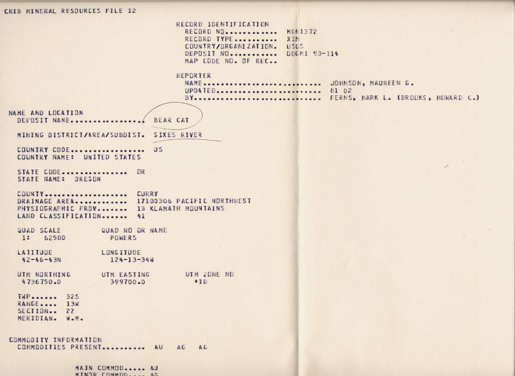## CRIB MINERAL RESOURCES FILE 12 RECORD IDENTIFICATION RECORD NO............. MO61372 RECORD TYPE........... X1M COUNTRY/ORGANIZATION. USGS DEPOSIT NO. ........... DDGMI 93-114 MAP CODE NO. OF REC.. REPORTER NAME ............................. JOHNSON, MAUREEN G. UPDATED.......................... 81 02 BY............................. FERNS, MARK L. (BROOKS, HOWARD C.) NAME AND LOCATION BEAR CAT DEPOSIT NAME.................. MINING DISTRICT/AREA/SUBDIST. SIXES RIVER COUNTRY CODE.................. US COUNTRY NAME: UNITED STATES  $\Delta^{\rm int}$ STATE CODE................ OR STATE NAME: ORESON COUNTY.................... CURRY DRAINAGE AREA............ 17100306 PACIFIC NORTHWEST PHYSIOGRAPHIC PROV........ 13 KLAMATH MOUNTAINS LAND CLASSIFICATION....... 41 QUAD SCALE QUAD NO OR NAME 1: 62500 POWERS LATITUDE LONGITUDE  $42 - 46 - 43N$  $124 - 13 - 34W$ UTM ZONE NO UTM NORTHING UTM EASTING  $47%6750*0$ 399700.0  $+10$ TWP....... 325 RANGE.... 13W SECTION.. 22 MERIDIAN. W.M. COMMODITY INFORMATION COMMODITIES PRESENT........... AU AG AG

MAIN COMMOD..... AU MINOR COMMON ... AC